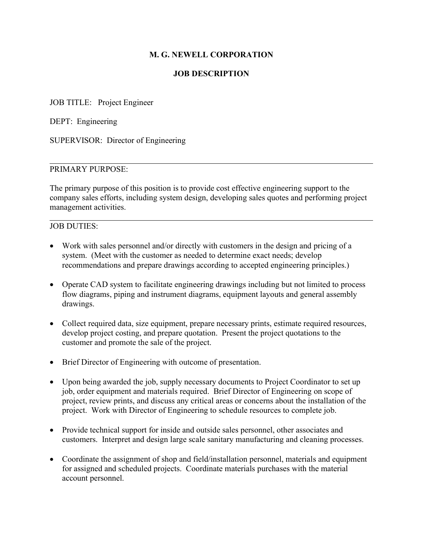## M. G. NEWELL CORPORATION

## JOB DESCRIPTION

JOB TITLE: Project Engineer

DEPT: Engineering

SUPERVISOR: Director of Engineering

#### PRIMARY PURPOSE:

The primary purpose of this position is to provide cost effective engineering support to the company sales efforts, including system design, developing sales quotes and performing project management activities.

### JOB DUTIES:

l

l

- Work with sales personnel and/or directly with customers in the design and pricing of a system. (Meet with the customer as needed to determine exact needs; develop recommendations and prepare drawings according to accepted engineering principles.)
- Operate CAD system to facilitate engineering drawings including but not limited to process flow diagrams, piping and instrument diagrams, equipment layouts and general assembly drawings.
- Collect required data, size equipment, prepare necessary prints, estimate required resources, develop project costing, and prepare quotation. Present the project quotations to the customer and promote the sale of the project.
- Brief Director of Engineering with outcome of presentation.
- Upon being awarded the job, supply necessary documents to Project Coordinator to set up job, order equipment and materials required. Brief Director of Engineering on scope of project, review prints, and discuss any critical areas or concerns about the installation of the project. Work with Director of Engineering to schedule resources to complete job.
- Provide technical support for inside and outside sales personnel, other associates and customers. Interpret and design large scale sanitary manufacturing and cleaning processes.
- Coordinate the assignment of shop and field/installation personnel, materials and equipment for assigned and scheduled projects. Coordinate materials purchases with the material account personnel.